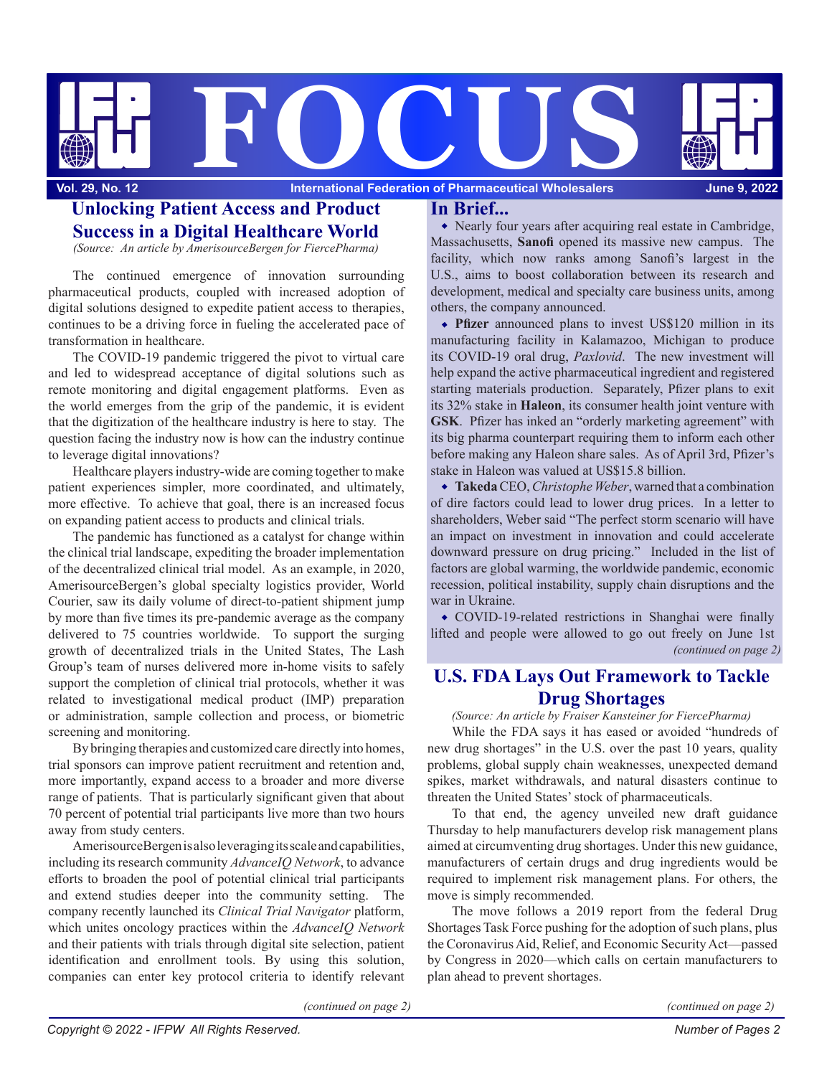

# **Unlocking Patient Access and Product In Brief... Success in a Digital Healthcare World**

*(Source: An article by AmerisourceBergen for FiercePharma)*

The continued emergence of innovation surrounding pharmaceutical products, coupled with increased adoption of digital solutions designed to expedite patient access to therapies, continues to be a driving force in fueling the accelerated pace of transformation in healthcare.

The COVID-19 pandemic triggered the pivot to virtual care and led to widespread acceptance of digital solutions such as remote monitoring and digital engagement platforms. Even as the world emerges from the grip of the pandemic, it is evident that the digitization of the healthcare industry is here to stay. The question facing the industry now is how can the industry continue to leverage digital innovations?

Healthcare players industry-wide are coming together to make patient experiences simpler, more coordinated, and ultimately, more effective. To achieve that goal, there is an increased focus on expanding patient access to products and clinical trials.

The pandemic has functioned as a catalyst for change within the clinical trial landscape, expediting the broader implementation of the decentralized clinical trial model. As an example, in 2020, AmerisourceBergen's global specialty logistics provider, World Courier, saw its daily volume of direct-to-patient shipment jump by more than five times its pre-pandemic average as the company delivered to 75 countries worldwide. To support the surging growth of decentralized trials in the United States, The Lash Group's team of nurses delivered more in-home visits to safely support the completion of clinical trial protocols, whether it was related to investigational medical product (IMP) preparation or administration, sample collection and process, or biometric screening and monitoring.

By bringing therapies and customized care directly into homes, trial sponsors can improve patient recruitment and retention and, more importantly, expand access to a broader and more diverse range of patients. That is particularly significant given that about 70 percent of potential trial participants live more than two hours away from study centers.

AmerisourceBergen is also leveraging its scale and capabilities, including its research community *AdvanceIQ Network*, to advance efforts to broaden the pool of potential clinical trial participants and extend studies deeper into the community setting. The company recently launched its *Clinical Trial Navigator* platform, which unites oncology practices within the *AdvanceIQ Network* and their patients with trials through digital site selection, patient identification and enrollment tools. By using this solution, companies can enter key protocol criteria to identify relevant

Nearly four years after acquiring real estate in Cambridge, Massachusetts, **Sanofi** opened its massive new campus. The facility, which now ranks among Sanofi's largest in the U.S., aims to boost collaboration between its research and development, medical and specialty care business units, among others, the company announced.

**Pfizer** announced plans to invest US\$120 million in its manufacturing facility in Kalamazoo, Michigan to produce its COVID-19 oral drug, *Paxlovid*. The new investment will help expand the active pharmaceutical ingredient and registered starting materials production. Separately, Pfizer plans to exit its 32% stake in **Haleon**, its consumer health joint venture with **GSK**. Pfizer has inked an "orderly marketing agreement" with its big pharma counterpart requiring them to inform each other before making any Haleon share sales. As of April 3rd, Pfizer's stake in Haleon was valued at US\$15.8 billion.

**Takeda** CEO, *Christophe Weber*, warned that a combination of dire factors could lead to lower drug prices. In a letter to shareholders, Weber said "The perfect storm scenario will have an impact on investment in innovation and could accelerate downward pressure on drug pricing." Included in the list of factors are global warming, the worldwide pandemic, economic recession, political instability, supply chain disruptions and the war in Ukraine.

*(continued on page 2)* COVID-19-related restrictions in Shanghai were finally lifted and people were allowed to go out freely on June 1st

# **U.S. FDA Lays Out Framework to Tackle Drug Shortages**

*(Source: An article by Fraiser Kansteiner for FiercePharma)*

While the FDA says it has eased or avoided "hundreds of new drug shortages" in the U.S. over the past 10 years, quality problems, global supply chain weaknesses, unexpected demand spikes, market withdrawals, and natural disasters continue to threaten the United States' stock of pharmaceuticals.

To that end, the agency unveiled new draft guidance Thursday to help manufacturers develop risk management plans aimed at circumventing drug shortages. Under this new guidance, manufacturers of certain drugs and drug ingredients would be required to implement risk management plans. For others, the move is simply recommended.

The move follows a 2019 report from the federal Drug Shortages Task Force pushing for the adoption of such plans, plus the Coronavirus Aid, Relief, and Economic Security Act—passed by Congress in 2020—which calls on certain manufacturers to plan ahead to prevent shortages.

*(continued on page 2)*

*(continued on page 2)*